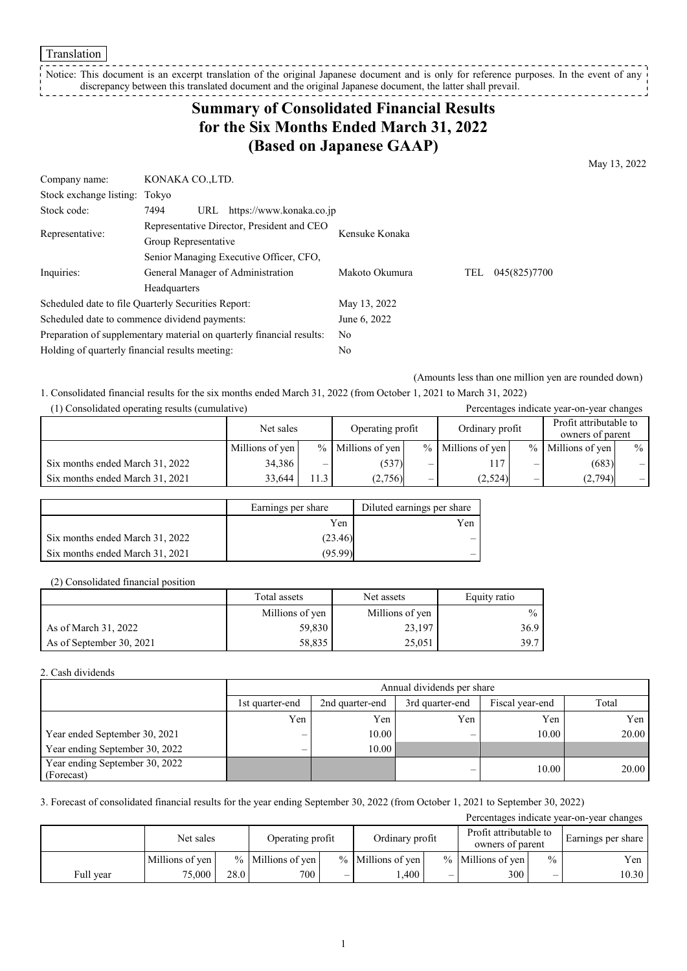Translation

Notice: This document is an excerpt translation of the original Japanese document and is only for reference purposes. In the event of any discrepancy between this translated document and the original Japanese document, the latter shall prevail.

# **Summary of Consolidated Financial Results for the Six Months Ended March 31, 2022 (Based on Japanese GAAP)**

May 13, 2022

| Company name:                                   | KONAKA CO.,LTD.                                                       |                |                     |  |  |  |
|-------------------------------------------------|-----------------------------------------------------------------------|----------------|---------------------|--|--|--|
| Stock exchange listing: Tokyo                   |                                                                       |                |                     |  |  |  |
| Stock code:                                     | https://www.konaka.co.jp<br>7494<br>URL                               |                |                     |  |  |  |
| Representative:                                 | Representative Director, President and CEO                            | Kensuke Konaka |                     |  |  |  |
|                                                 | Group Representative                                                  |                |                     |  |  |  |
|                                                 | Senior Managing Executive Officer, CFO,                               |                |                     |  |  |  |
| Inquiries:                                      | General Manager of Administration                                     | Makoto Okumura | 045(825)7700<br>TEL |  |  |  |
|                                                 | Headquarters                                                          |                |                     |  |  |  |
|                                                 | Scheduled date to file Quarterly Securities Report:                   | May 13, 2022   |                     |  |  |  |
|                                                 | Scheduled date to commence dividend payments:                         | June 6, 2022   |                     |  |  |  |
|                                                 | Preparation of supplementary material on quarterly financial results: | No.            |                     |  |  |  |
| Holding of quarterly financial results meeting: |                                                                       | No             |                     |  |  |  |

(Amounts less than one million yen are rounded down)

1. Consolidated financial results for the six months ended March 31, 2022 (from October 1, 2021 to March 31, 2022)

| (1) Consolidated operating results (cumulative) |                 |     | Percentages indicate year-on-year changes |                                     |                     |               |                                            |      |
|-------------------------------------------------|-----------------|-----|-------------------------------------------|-------------------------------------|---------------------|---------------|--------------------------------------------|------|
|                                                 | Net sales       |     |                                           | Operating profit<br>Ordinary profit |                     |               | Profit attributable to<br>owners of parent |      |
|                                                 | Millions of yen |     | $%$ Millions of yen                       |                                     | $%$ Millions of yen | $\frac{0}{0}$ | Millions of yen                            | $\%$ |
| Six months ended March 31, 2022                 | 34,386          | -   | (537)                                     | –                                   | 117                 | –             | (683)                                      | $-1$ |
| Six months ended March 31, 2021                 | 33.644          | 1.3 | (2,756)                                   |                                     | (2,524)             | –             | (2,794)                                    |      |

|                                 | Earnings per share | Diluted earnings per share |
|---------------------------------|--------------------|----------------------------|
|                                 | Yen                | Yen                        |
| Six months ended March 31, 2022 | (23.46)            |                            |
| Six months ended March 31, 2021 | (95.99)            |                            |

(2) Consolidated financial position

|                          | Total assets    | Net assets      | Equity ratio  |
|--------------------------|-----------------|-----------------|---------------|
|                          | Millions of yen | Millions of yen | $\frac{0}{0}$ |
| As of March 31, 2022     | 59,830          | 23,197          | 36.9          |
| As of September 30, 2021 | 58.835          | 25,051          | 39.7          |

2. Cash dividends

|                                              | Annual dividends per share |                 |                 |                 |       |  |  |  |
|----------------------------------------------|----------------------------|-----------------|-----------------|-----------------|-------|--|--|--|
|                                              | 1st quarter-end            | 2nd quarter-end | 3rd quarter-end | Fiscal year-end | Total |  |  |  |
|                                              | Yen                        | Yen             | Yen             | Yen             | Yen   |  |  |  |
| Year ended September 30, 2021                | $\overline{\phantom{m}}$   | 10.00           |                 | 10.00           | 20.00 |  |  |  |
| Year ending September 30, 2022               | —                          | 10.00           |                 |                 |       |  |  |  |
| Year ending September 30, 2022<br>(Forecast) |                            |                 |                 | 10.00           | 20.00 |  |  |  |

3. Forecast of consolidated financial results for the year ending September 30, 2022 (from October 1, 2021 to September 30, 2022)

Percentages indicate year-on-year changes

|           | Net sales       |      | Operating profit    |   | Ordinary profit     |                          | Profit attributable to<br>owners of parent |               | Earnings per share |
|-----------|-----------------|------|---------------------|---|---------------------|--------------------------|--------------------------------------------|---------------|--------------------|
|           | Millions of yen |      | $%$ Millions of yen |   | $%$ Millions of ven |                          | $%$ Millions of ven                        | $\frac{0}{0}$ | Yen                |
| Full vear | 75,000          | 28.0 | 700                 | _ | .400                | $\overline{\phantom{0}}$ | 300                                        | _             | 10.30              |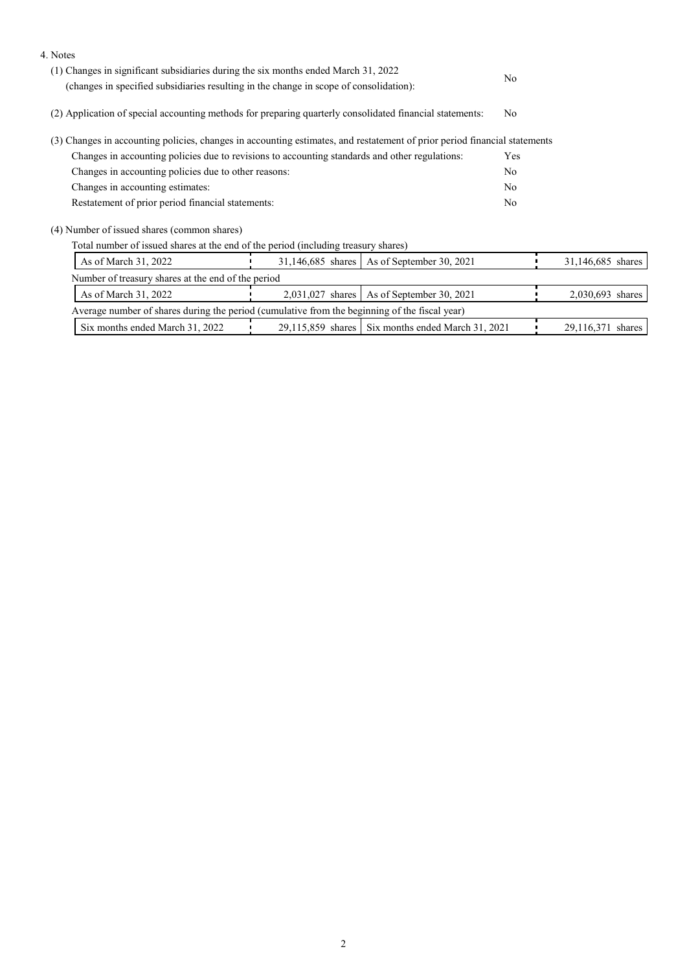| 4. Notes                                                                                                                  |                   |                                                     |                |                   |
|---------------------------------------------------------------------------------------------------------------------------|-------------------|-----------------------------------------------------|----------------|-------------------|
| (1) Changes in significant subsidiaries during the six months ended March 31, 2022                                        |                   |                                                     |                |                   |
| (changes in specified subsidiaries resulting in the change in scope of consolidation):                                    |                   |                                                     | No.            |                   |
| (2) Application of special accounting methods for preparing quarterly consolidated financial statements:                  | N <sub>o</sub>    |                                                     |                |                   |
| (3) Changes in accounting policies, changes in accounting estimates, and restatement of prior period financial statements |                   |                                                     |                |                   |
| Changes in accounting policies due to revisions to accounting standards and other regulations:                            |                   |                                                     | Yes            |                   |
| Changes in accounting policies due to other reasons:                                                                      |                   |                                                     | N <sub>o</sub> |                   |
| Changes in accounting estimates:                                                                                          |                   |                                                     | N <sub>o</sub> |                   |
| Restatement of prior period financial statements:                                                                         |                   |                                                     | N <sub>o</sub> |                   |
| (4) Number of issued shares (common shares)                                                                               |                   |                                                     |                |                   |
| Total number of issued shares at the end of the period (including treasury shares)                                        |                   |                                                     |                |                   |
| As of March 31, 2022                                                                                                      | 31,146,685 shares | As of September 30, 2021                            |                | 31,146,685 shares |
| Number of treasury shares at the end of the period                                                                        |                   |                                                     |                |                   |
| As of March 31, 2022                                                                                                      | 2,031,027 shares  | As of September 30, 2021                            |                | 2,030,693 shares  |
| Average number of shares during the period (cumulative from the beginning of the fiscal year)                             |                   |                                                     |                |                   |
| Six months ended March 31, 2022                                                                                           |                   | $29,115,859$ shares Six months ended March 31, 2021 |                | 29,116,371 shares |
|                                                                                                                           |                   |                                                     |                |                   |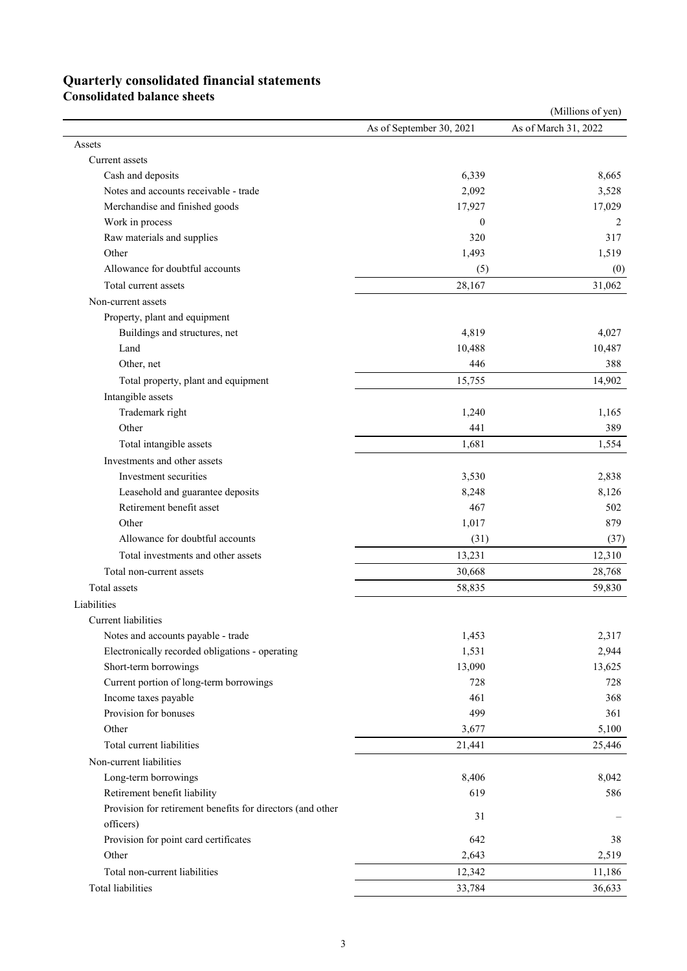# **Quarterly consolidated financial statements**

**Consolidated balance sheets** 

|                                                            |                          | (Millions of yen)    |
|------------------------------------------------------------|--------------------------|----------------------|
|                                                            | As of September 30, 2021 | As of March 31, 2022 |
| Assets                                                     |                          |                      |
| Current assets                                             |                          |                      |
| Cash and deposits                                          | 6,339                    | 8,665                |
| Notes and accounts receivable - trade                      | 2,092                    | 3,528                |
| Merchandise and finished goods                             | 17,927                   | 17,029               |
| Work in process                                            | $\boldsymbol{0}$         | 2                    |
| Raw materials and supplies                                 | 320                      | 317                  |
| Other                                                      | 1,493                    | 1,519                |
| Allowance for doubtful accounts                            | (5)                      | (0)                  |
| Total current assets                                       | 28,167                   | 31,062               |
| Non-current assets                                         |                          |                      |
| Property, plant and equipment                              |                          |                      |
| Buildings and structures, net                              | 4,819                    | 4,027                |
| Land                                                       | 10,488                   | 10,487               |
| Other, net                                                 | 446                      | 388                  |
| Total property, plant and equipment                        | 15,755                   | 14,902               |
| Intangible assets                                          |                          |                      |
| Trademark right                                            | 1,240                    | 1,165                |
| Other                                                      | 441                      | 389                  |
| Total intangible assets                                    | 1,681                    | 1,554                |
| Investments and other assets                               |                          |                      |
|                                                            |                          |                      |
| Investment securities                                      | 3,530                    | 2,838                |
| Leasehold and guarantee deposits                           | 8,248                    | 8,126                |
| Retirement benefit asset                                   | 467                      | 502                  |
| Other                                                      | 1,017                    | 879                  |
| Allowance for doubtful accounts                            | (31)                     | (37)                 |
| Total investments and other assets                         | 13,231                   | 12,310               |
| Total non-current assets                                   | 30,668                   | 28,768               |
| Total assets                                               | 58,835                   | 59,830               |
| Liabilities                                                |                          |                      |
| Current liabilities                                        |                          |                      |
| Notes and accounts payable - trade                         | 1,453                    | 2,317                |
| Electronically recorded obligations - operating            | 1,531                    | 2,944                |
| Short-term borrowings                                      | 13,090                   | 13,625               |
| Current portion of long-term borrowings                    | 728                      | 728                  |
| Income taxes payable                                       | 461                      | 368                  |
| Provision for bonuses                                      | 499                      | 361                  |
| Other                                                      | 3,677                    | 5,100                |
| Total current liabilities                                  | 21,441                   | 25,446               |
| Non-current liabilities                                    |                          |                      |
| Long-term borrowings                                       | 8,406                    | 8,042                |
| Retirement benefit liability                               | 619                      | 586                  |
| Provision for retirement benefits for directors (and other |                          |                      |
| officers)                                                  | 31                       |                      |
| Provision for point card certificates                      | 642                      | 38                   |
| Other                                                      | 2,643                    | 2,519                |
| Total non-current liabilities                              | 12,342                   | 11,186               |
| Total liabilities                                          | 33,784                   | 36,633               |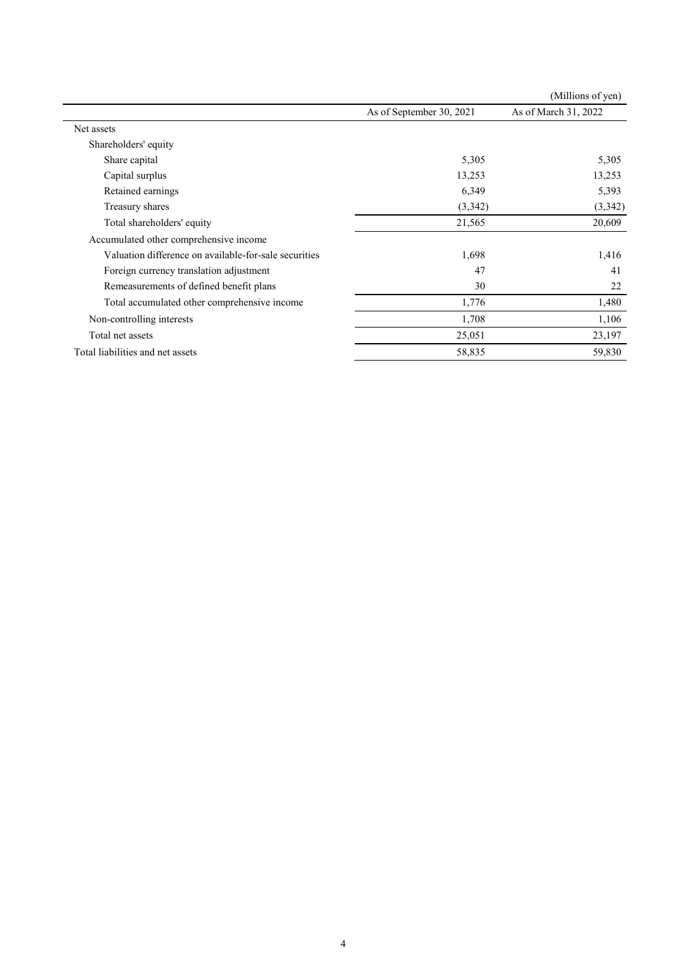|                                                       |                          | (Millions of yen)    |
|-------------------------------------------------------|--------------------------|----------------------|
|                                                       | As of September 30, 2021 | As of March 31, 2022 |
| Net assets                                            |                          |                      |
| Shareholders' equity                                  |                          |                      |
| Share capital                                         | 5,305                    | 5,305                |
| Capital surplus                                       | 13,253                   | 13,253               |
| Retained earnings                                     | 6,349                    | 5,393                |
| Treasury shares                                       | (3,342)                  | (3,342)              |
| Total shareholders' equity                            | 21,565                   | 20,609               |
| Accumulated other comprehensive income                |                          |                      |
| Valuation difference on available-for-sale securities | 1,698                    | 1,416                |
| Foreign currency translation adjustment               | 47                       | 41                   |
| Remeasurements of defined benefit plans               | 30                       | 22                   |
| Total accumulated other comprehensive income          | 1,776                    | 1,480                |
| Non-controlling interests                             | 1,708                    | 1,106                |
| Total net assets                                      | 25,051                   | 23,197               |
| Total liabilities and net assets                      | 58,835                   | 59,830               |
|                                                       |                          |                      |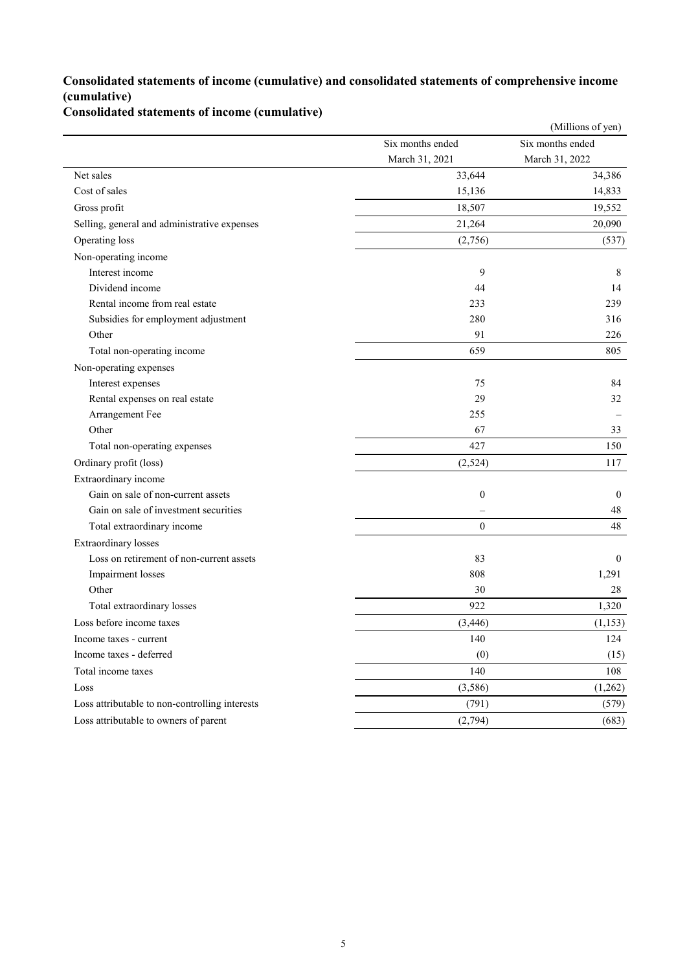### **Consolidated statements of income (cumulative) and consolidated statements of comprehensive income (cumulative)**

### **Consolidated statements of income (cumulative)**

|                                                |                  | (Millions of yen) |
|------------------------------------------------|------------------|-------------------|
|                                                | Six months ended | Six months ended  |
|                                                | March 31, 2021   | March 31, 2022    |
| Net sales                                      | 33,644           | 34,386            |
| Cost of sales                                  | 15,136           | 14,833            |
| Gross profit                                   | 18,507           | 19,552            |
| Selling, general and administrative expenses   | 21,264           | 20,090            |
| Operating loss                                 | (2,756)          | (537)             |
| Non-operating income                           |                  |                   |
| Interest income                                | 9                | 8                 |
| Dividend income                                | 44               | 14                |
| Rental income from real estate                 | 233              | 239               |
| Subsidies for employment adjustment            | 280              | 316               |
| Other                                          | 91               | 226               |
| Total non-operating income                     | 659              | 805               |
| Non-operating expenses                         |                  |                   |
| Interest expenses                              | 75               | 84                |
| Rental expenses on real estate                 | 29               | 32                |
| Arrangement Fee                                | 255              |                   |
| Other                                          | 67               | 33                |
| Total non-operating expenses                   | 427              | 150               |
| Ordinary profit (loss)                         | (2,524)          | 117               |
| Extraordinary income                           |                  |                   |
| Gain on sale of non-current assets             | $\boldsymbol{0}$ | $\mathbf{0}$      |
| Gain on sale of investment securities          |                  | 48                |
| Total extraordinary income                     | $\mathbf{0}$     | 48                |
| <b>Extraordinary losses</b>                    |                  |                   |
| Loss on retirement of non-current assets       | 83               | $\mathbf{0}$      |
| Impairment losses                              | 808              | 1,291             |
| Other                                          | 30               | 28                |
| Total extraordinary losses                     | 922              | 1,320             |
| Loss before income taxes                       | (3, 446)         | (1,153)           |
| Income taxes - current                         | 140              | 124               |
| Income taxes - deferred                        | (0)              | (15)              |
| Total income taxes                             | 140              | 108               |
| Loss                                           | (3,586)          | (1,262)           |
| Loss attributable to non-controlling interests | (791)            | (579)             |
| Loss attributable to owners of parent          | (2,794)          | (683)             |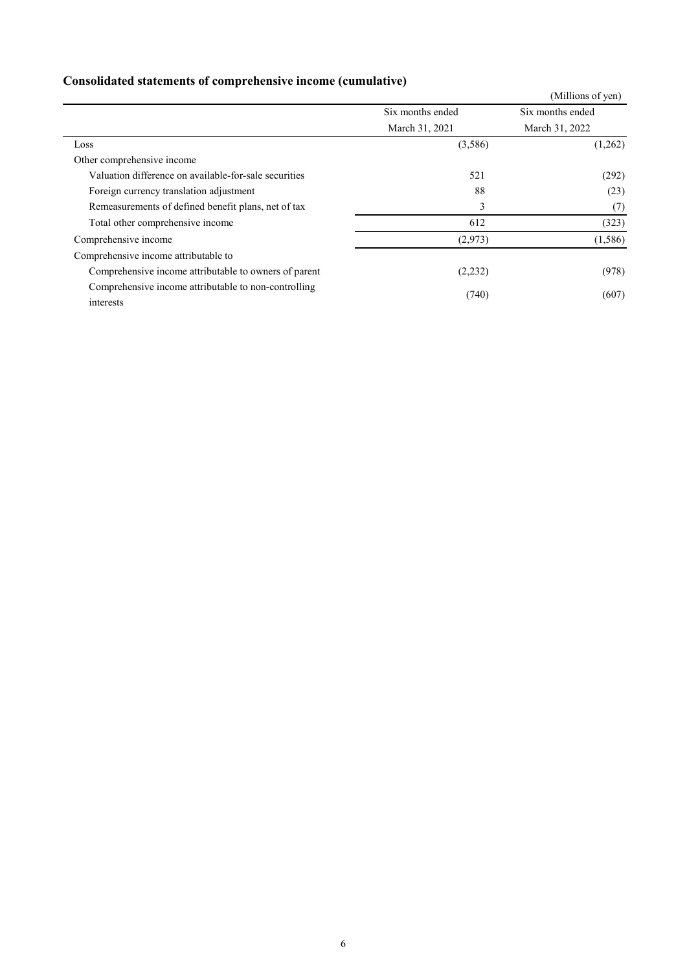|                                                                   |                  | (Millions of yen) |
|-------------------------------------------------------------------|------------------|-------------------|
|                                                                   | Six months ended | Six months ended  |
|                                                                   | March 31, 2021   | March 31, 2022    |
| Loss                                                              | (3,586)          | (1,262)           |
| Other comprehensive income                                        |                  |                   |
| Valuation difference on available-for-sale securities             | 521              | (292)             |
| Foreign currency translation adjustment                           | 88               | (23)              |
| Remeasurements of defined benefit plans, net of tax               | 3                | (7)               |
| Total other comprehensive income                                  | 612              | (323)             |
| Comprehensive income                                              | (2,973)          | (1,586)           |
| Comprehensive income attributable to                              |                  |                   |
| Comprehensive income attributable to owners of parent             | (2,232)          | (978)             |
| Comprehensive income attributable to non-controlling<br>interests | (740)            | (607)             |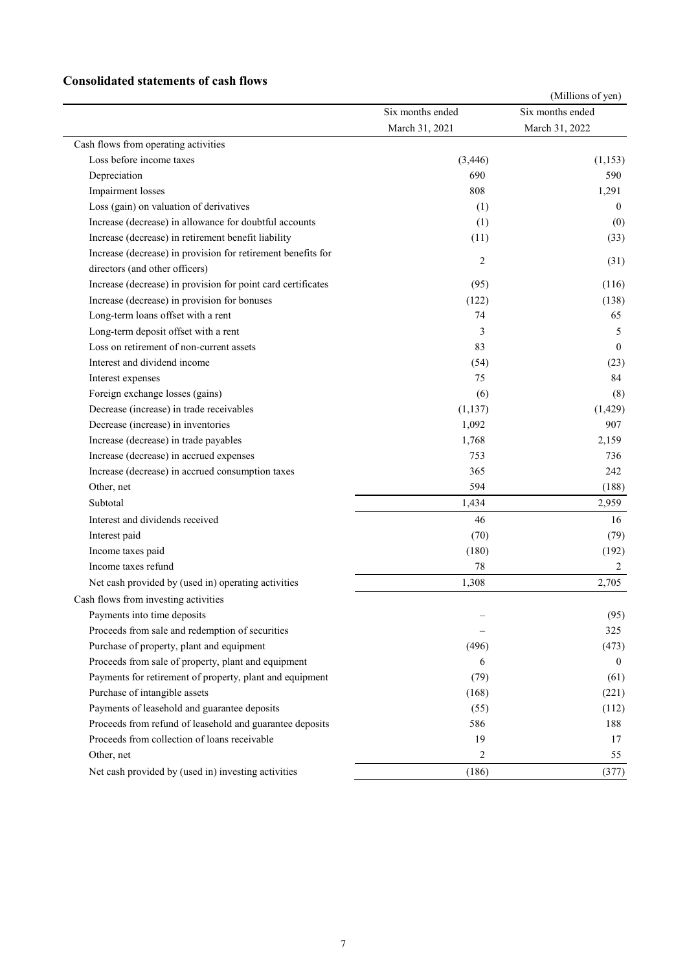#### **Consolidated statements of cash flows**

|                                                              |                                    | (Millions of yen)                  |
|--------------------------------------------------------------|------------------------------------|------------------------------------|
|                                                              | Six months ended<br>March 31, 2021 | Six months ended<br>March 31, 2022 |
|                                                              |                                    |                                    |
| Cash flows from operating activities                         |                                    |                                    |
| Loss before income taxes                                     | (3, 446)                           | (1, 153)                           |
| Depreciation                                                 | 690                                | 590                                |
| Impairment losses                                            | 808                                | 1,291                              |
| Loss (gain) on valuation of derivatives                      | (1)                                | $\left($                           |
| Increase (decrease) in allowance for doubtful accounts       | (1)                                | (0)                                |
| Increase (decrease) in retirement benefit liability          | (11)                               | (33)                               |
| Increase (decrease) in provision for retirement benefits for | 2                                  |                                    |
| directors (and other officers)                               |                                    | (31)                               |
| Increase (decrease) in provision for point card certificates | (95)                               | (116)                              |
| Increase (decrease) in provision for bonuses                 | (122)                              | (138)                              |
| Long-term loans offset with a rent                           | 74                                 | 65                                 |
| Long-term deposit offset with a rent                         | 3                                  | 5                                  |
| Loss on retirement of non-current assets                     | 83                                 | $\theta$                           |
| Interest and dividend income                                 | (54)                               | (23)                               |
| Interest expenses                                            | 75                                 | 84                                 |
| Foreign exchange losses (gains)                              | (6)                                | (8)                                |
| Decrease (increase) in trade receivables                     | (1, 137)                           | (1, 429)                           |
| Decrease (increase) in inventories                           | 1,092                              | 907                                |
| Increase (decrease) in trade payables                        | 1,768                              | 2,159                              |
| Increase (decrease) in accrued expenses                      | 753                                | 736                                |
| Increase (decrease) in accrued consumption taxes             | 365                                | 242                                |
| Other, net                                                   | 594                                | (188)                              |
| Subtotal                                                     | 1,434                              | 2,959                              |
| Interest and dividends received                              | 46                                 | 16                                 |
| Interest paid                                                | (70)                               | (79)                               |
| Income taxes paid                                            | (180)                              | (192)                              |
| Income taxes refund                                          | 78                                 | 2                                  |
| Net cash provided by (used in) operating activities          | 1,308                              | 2,705                              |
| Cash flows from investing activities                         |                                    |                                    |
| Payments into time deposits                                  |                                    | (95)                               |
| Proceeds from sale and redemption of securities              |                                    | 325                                |
| Purchase of property, plant and equipment                    | (496)                              | (473)                              |
| Proceeds from sale of property, plant and equipment          | 6                                  | $\theta$                           |
| Payments for retirement of property, plant and equipment     | (79)                               | (61)                               |
| Purchase of intangible assets                                | (168)                              | (221)                              |
| Payments of leasehold and guarantee deposits                 | (55)                               | (112)                              |
| Proceeds from refund of leasehold and guarantee deposits     | 586                                | 188                                |
| Proceeds from collection of loans receivable                 | 19                                 | 17                                 |
| Other, net                                                   | 2                                  | 55                                 |
| Net cash provided by (used in) investing activities          | (186)                              | (377)                              |